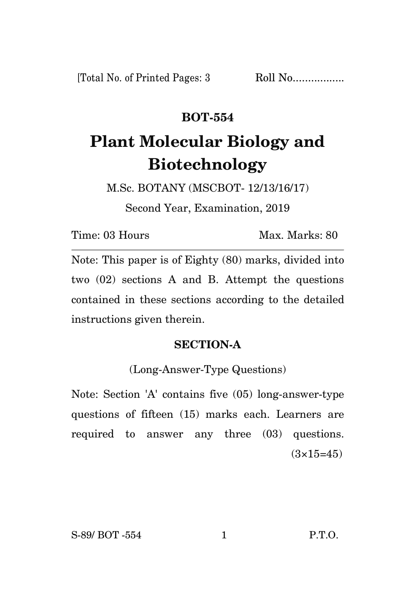## **BOT-554**

## **Plant Molecular Biology and Biotechnology**

M.Sc. BOTANY (MSCBOT- 12/13/16/17)

Second Year, Examination, 2019

Time: 03 Hours Max. Marks: 80

Note: This paper is of Eighty (80) marks, divided into two (02) sections A and B. Attempt the questions contained in these sections according to the detailed instructions given therein.

## **SECTION-A**

(Long-Answer-Type Questions)

Note: Section 'A' contains five (05) long-answer-type questions of fifteen (15) marks each. Learners are required to answer any three (03) questions.  $(3\times15=45)$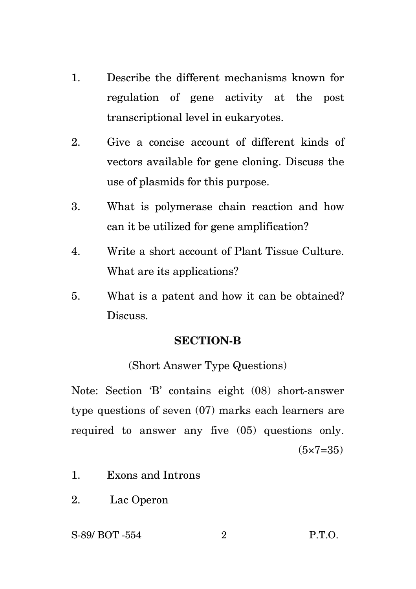- 1. Describe the different mechanisms known for regulation of gene activity at the post transcriptional level in eukaryotes.
- 2. Give a concise account of different kinds of vectors available for gene cloning. Discuss the use of plasmids for this purpose.
- 3. What is polymerase chain reaction and how can it be utilized for gene amplification?
- 4. Write a short account of Plant Tissue Culture. What are its applications?
- 5. What is a patent and how it can be obtained? Discuss.

## **SECTION-B**

(Short Answer Type Questions)

Note: Section 'B' contains eight (08) short-answer type questions of seven (07) marks each learners are required to answer any five (05) questions only.  $(5 \times 7 = 35)$ 

- 1. Exons and Introns
- 2. Lac Operon
- S-89/ BOT -554 2 P.T.O.